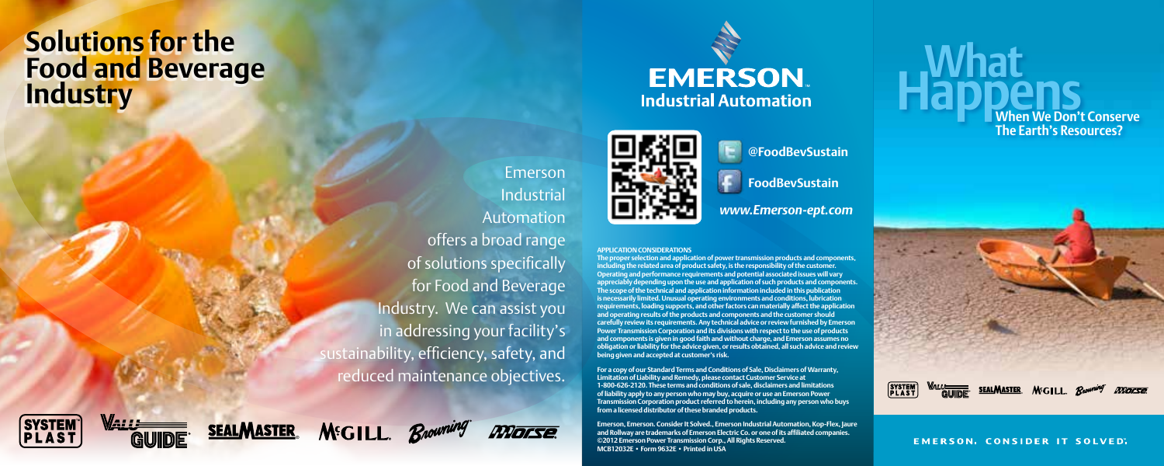## **Solutions for the Food and Beverage Industry**



Rnowning

®

**MGILL** 

**SEALMASTER** 

# **EMERSON Industrial Automation**



**@FoodBevSustain**

**FoodBevSustain**

*www.Emerson-ept.com*

#### **APPLICATION CONSIDERATIONS**

Emerson Industrial Automation

Morse

**The proper selection and application of power transmission products and components, including the related area of product safety, is the responsibility of the customer. Operating and performance requirements and potential associated issues will vary appreciably depending upon the use and application of such products and components. The scope of the technical and application information included in this publication is necessarily limited. Unusual operating environments and conditions, lubrication requirements, loading supports, and other factors can materially affect the application and operating results of the products and components and the customer should carefully review its requirements. Any technical advice or review furnished by Emerson Power Transmission Corporation and its divisions with respect to the use of products and components is given in good faith and without charge, and Emerson assumes no obligation or liability for the advice given, or results obtained, all such advice and review being given and accepted at customer's risk.**

**For a copy of our Standard Terms and Conditions of Sale, Disclaimers of Warranty, Limitation of Liability and Remedy, please contact Customer Service at 1-800-626-2120. These terms and conditions of sale, disclaimers and limitations of liability apply to any person who may buy, acquire or use an Emerson Power Transmission Corporation product referred to herein, including any person who buys from a licensed distributor of these branded products.**

**Emerson, Emerson. Consider It Solved., Emerson Industrial Automation, Kop-Flex, Jaure and Rollway are trademarks of Emerson Electric Co. or one of its affiliated companies. ©2012 Emerson Power Transmission Corp., All Rights Reserved. MCB12032E • Form 9632E • Printed in USA**

 **What Happens When We Don't Conserve The Earth's Resources?**

SYSTEM<sup>T</sup><br>PLAST SEALMASTER MCILL Browning  $MRTF$ 

**EMERSON, CONSIDER IT SOLVED,**